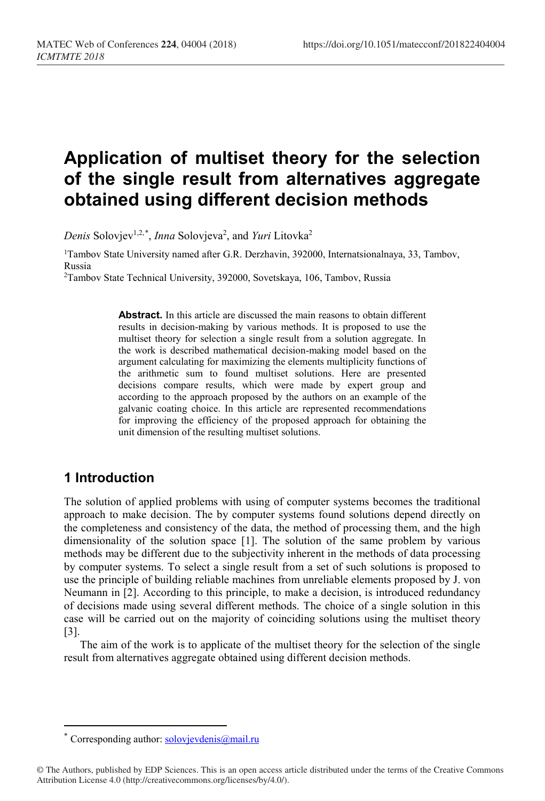# **Application of multiset theory for the selection of the single result from alternatives aggregate obtained using different decision methods**

*Denis* Solovjev<sup>1,2,[\\*](#page-0-0)</sup>, *Inna* Solovjeva<sup>2</sup>, and *Yuri* Litovka<sup>2</sup>

1Tambov State University named after G.R. Derzhavin, 392000, Internatsionalnaya, 33, Tambov, Russia

2Tambov State Technical University, 392000, Sovetskaya, 106, Tambov, Russia

**Abstract.** In this article are discussed the main reasons to obtain different results in decision-making by various methods. It is proposed to use the multiset theory for selection a single result from a solution aggregate. In the work is described mathematical decision-making model based on the argument calculating for maximizing the elements multiplicity functions of the arithmetic sum to found multiset solutions. Here are presented decisions compare results, which were made by expert group and according to the approach proposed by the authors on an example of the galvanic coating choice. In this article are represented recommendations for improving the efficiency of the proposed approach for obtaining the unit dimension of the resulting multiset solutions.

# **1 Introduction**

 $\overline{a}$ 

The solution of applied problems with using of computer systems becomes the traditional approach to make decision. The by computer systems found solutions depend directly on the completeness and consistency of the data, the method of processing them, and the high dimensionality of the solution space [1]. The solution of the same problem by various methods may be different due to the subjectivity inherent in the methods of data processing by computer systems. To select a single result from a set of such solutions is proposed to use the principle of building reliable machines from unreliable elements proposed by J. von Neumann in [2]. According to this principle, to make a decision, is introduced redundancy of decisions made using several different methods. The choice of a single solution in this case will be carried out on the majority of coinciding solutions using the multiset theory [3].

The aim of the work is to applicate of the multiset theory for the selection of the single result from alternatives aggregate obtained using different decision methods.

Corresponding author: [solovjevdenis@mail.ru](mailto:solovjevdenis@mail.ru)

<span id="page-0-0"></span><sup>©</sup> The Authors, published by EDP Sciences. This is an open access article distributed under the terms of the Creative Commons Attribution License 4.0 (http://creativecommons.org/licenses/by/4.0/).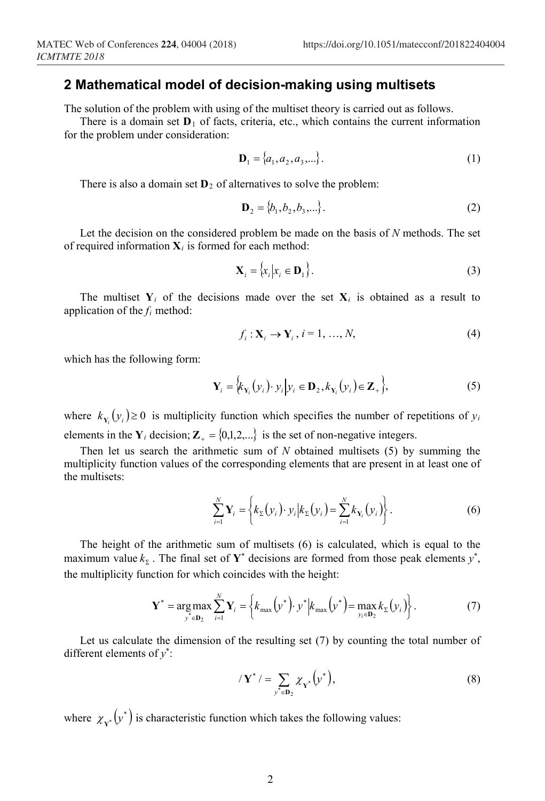## **2 Mathematical model of decision-making using multisets**

The solution of the problem with using of the multiset theory is carried out as follows.

There is a domain set  $D_1$  of facts, criteria, etc., which contains the current information for the problem under consideration:

$$
\mathbf{D}_1 = \{a_1, a_2, a_3, \ldots\}.
$$
 (1)

There is also a domain set  $\mathbf{D}_2$  of alternatives to solve the problem:

$$
\mathbf{D}_2 = \{b_1, b_2, b_3, \ldots\}.
$$
 (2)

Let the decision on the considered problem be made on the basis of *N* methods. The set of required information  $X_i$  is formed for each method:

$$
\mathbf{X}_{i} = \{x_{i} | x_{i} \in \mathbf{D}_{1}\}.
$$
 (3)

The multiset  $Y_i$  of the decisions made over the set  $X_i$  is obtained as a result to application of the *fi* method:

$$
f_i: \mathbf{X}_i \to \mathbf{Y}_i, i = 1, ..., N,
$$
\n<sup>(4)</sup>

which has the following form:

$$
\mathbf{Y}_{i} = \Big\langle k_{\mathbf{Y}_{i}}(y_{i}) \cdot y_{i} \Big| y_{i} \in \mathbf{D}_{2}, k_{\mathbf{Y}_{i}}(y_{i}) \in \mathbf{Z}_{+} \Big\rangle, \tag{5}
$$

where  $k_{Y_i}(y_i) \ge 0$  is multiplicity function which specifies the number of repetitions of  $y_i$ elements in the  $Y_i$  decision;  $Z_+ = \{0,1,2,...\}$  is the set of non-negative integers.

Then let us search the arithmetic sum of *N* obtained multisets (5) by summing the multiplicity function values of the corresponding elements that are present in at least one of the multisets:

$$
\sum_{i=1}^{N} \mathbf{Y}_{i} = \left\{ k_{\Sigma}(y_{i}) \cdot y_{i} | k_{\Sigma}(y_{i}) = \sum_{i=1}^{N} k_{\mathbf{Y}_{i}}(y_{i}) \right\}.
$$
 (6)

The height of the arithmetic sum of multisets (6) is calculated, which is equal to the maximum value  $k_z$ . The final set of  $Y^*$  decisions are formed from those peak elements  $y^*$ , the multiplicity function for which coincides with the height:

$$
\mathbf{Y}^* = \underset{y^* \in \mathbf{D}_2}{\arg \max} \sum_{i=1}^N \mathbf{Y}_i = \left\{ k_{\max} \left( y^* \right) \cdot y^* \middle| k_{\max} \left( y^* \right) = \underset{y_i \in \mathbf{D}_2}{\max} k_{\Sigma} \left( y_i \right) \right\}.
$$
 (7)

Let us calculate the dimension of the resulting set (7) by counting the total number of different elements of *y*\* :

$$
\langle \mathbf{Y}^* \rangle = \sum_{\mathbf{y}^* \in \mathbf{D}_2} \chi_{\mathbf{Y}^*} \left( \mathbf{y}^* \right), \tag{8}
$$

where  $\chi_{\mathbf{y}^*}(\mathbf{y}^*)$  is characteristic function which takes the following values: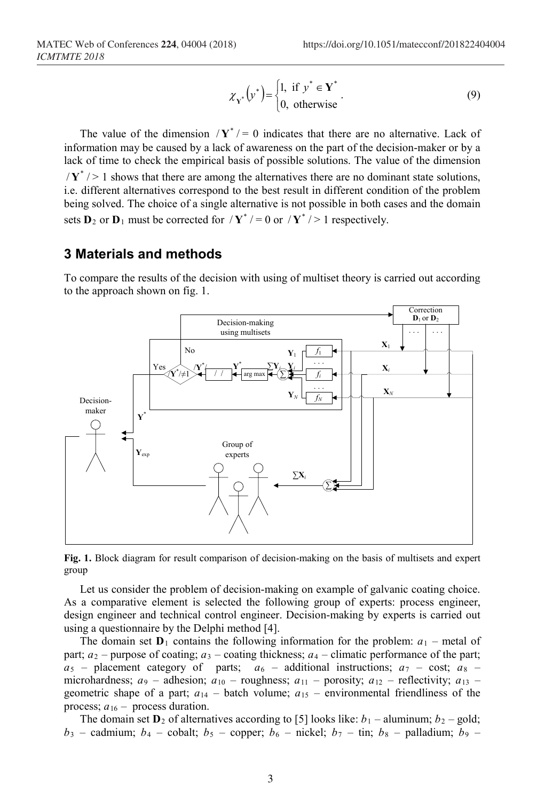$$
\chi_{\mathbf{Y}^*}\left(\mathbf{y}^*\right) = \begin{cases} 1, & \text{if } \mathbf{y}^* \in \mathbf{Y}^* \\ 0, & \text{otherwise} \end{cases} \tag{9}
$$

The value of the dimension  $/\mathbf{Y}^* = 0$  indicates that there are no alternative. Lack of information may be caused by a lack of awareness on the part of the decision-maker or by a lack of time to check the empirical basis of possible solutions. The value of the dimension  $\sqrt{Y^*}$  > 1 shows that there are among the alternatives there are no dominant state solutions, i.e. different alternatives correspond to the best result in different condition of the problem being solved. The choice of a single alternative is not possible in both cases and the domain sets  $D_2$  or  $D_1$  must be corrected for  $/\gamma^*$  / = 0 or  $/\gamma^*$  / > 1 respectively.

#### **3 Materials and methods**

To compare the results of the decision with using of multiset theory is carried out according to the approach shown on fig. 1.





Let us consider the problem of decision-making on example of galvanic coating choice. As a comparative element is selected the following group of experts: process engineer, design engineer and technical control engineer. Decision-making by experts is carried out using a questionnaire by the Delphi method [4].

The domain set  $D_1$  contains the following information for the problem:  $a_1$  – metal of part;  $a_2$  – purpose of coating;  $a_3$  – coating thickness;  $a_4$  – climatic performance of the part;  $a_5$  – placement category of parts;  $a_6$  – additional instructions;  $a_7$  – cost;  $a_8$  – microhardness;  $a_9$  – adhesion;  $a_{10}$  – roughness;  $a_{11}$  – porosity;  $a_{12}$  – reflectivity;  $a_{13}$  – geometric shape of a part;  $a_{14}$  – batch volume;  $a_{15}$  – environmental friendliness of the process;  $a_{16}$  – process duration.

The domain set  $D_2$  of alternatives according to [5] looks like:  $b_1$  – aluminum;  $b_2$  – gold;  $b_3$  – cadmium;  $b_4$  – cobalt;  $b_5$  – copper;  $b_6$  – nickel;  $b_7$  – tin;  $b_8$  – palladium;  $b_9$  –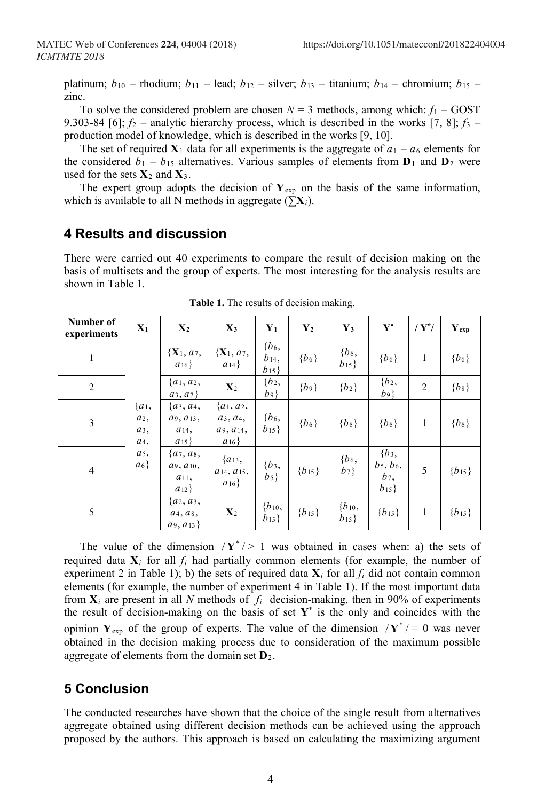platinum;  $b_{10}$  – rhodium;  $b_{11}$  – lead;  $b_{12}$  – silver;  $b_{13}$  – titanium;  $b_{14}$  – chromium;  $b_{15}$  – zinc.

To solve the considered problem are chosen  $N = 3$  methods, among which:  $f_1 - GOST$ 9.303-84 [6];  $f_2$  – analytic hierarchy process, which is described in the works [7, 8];  $f_3$  – production model of knowledge, which is described in the works [9, 10].

The set of required  $X_1$  data for all experiments is the aggregate of  $a_1 - a_6$  elements for the considered  $b_1 - b_{15}$  alternatives. Various samples of elements from  $\mathbf{D}_1$  and  $\mathbf{D}_2$  were used for the sets  $X_2$  and  $X_3$ .

The expert group adopts the decision of  $Y_{exp}$  on the basis of the same information, which is available to all N methods in aggregate ( $\sum X_i$ ).

#### **4 Results and discussion**

There were carried out 40 experiments to compare the result of decision making on the basis of multisets and the group of experts. The most interesting for the analysis results are shown in Table 1.

| Number of<br>experiments | $\mathbf{X}_1$                                                                 | $X_2$                                                  | $X_3$                                                     | ${\bf Y}_1$                     | $Y_2$      | ${\bf Y_3}$            | ${\bf Y}^*$                                  | / $Y^{\prime}$ | $\mathbf{Y}_{\text{exp}}$ |
|--------------------------|--------------------------------------------------------------------------------|--------------------------------------------------------|-----------------------------------------------------------|---------------------------------|------------|------------------------|----------------------------------------------|----------------|---------------------------|
| $\mathbf{1}$             | ${a_1,$<br>$a_2$ ,<br>$a_3$ ,<br>a <sub>4</sub> ,<br>a <sub>5</sub> ,<br>$a_6$ | ${X_1, a_7,$<br>$a_{16}$                               | ${X_1, a_7,$<br>$a_{14}$                                  | ${b_6,$<br>$b_{14}$<br>$b_{15}$ | ${b_6}$    | ${b_6,$<br>$b_{15}$    | ${b_6}$                                      | 1              | ${b_6}$                   |
| 2                        |                                                                                | $\{a_1, a_2,$<br>$a_3, a_7$                            | $\mathbf{X}_2$                                            | ${b_2,$<br>$b_9$                | ${b_9}$    | ${b_2}$                | ${b_2,$<br>$b\overline{9}$                   | $\overline{2}$ | ${b_8}$                   |
| $\mathfrak{Z}$           |                                                                                | ${a_3, a_4,$<br>$a_9, a_{13}$<br>$a_{14}$<br>$a_{15}$  | $\{a_1, a_2,$<br>$a_3, a_4,$<br>$a_9, a_{14}$<br>$a_{16}$ | ${b_6,$<br>$b_{15}$             | ${b_6}$    | ${b_6}$                | ${b_6}$                                      | 1              | ${b_6}$                   |
| $\overline{4}$           |                                                                                | $\{a_7, a_8,$<br>$a_9, a_{10}$<br>$a_{11}$<br>$a_{12}$ | ${a_{13},$<br>$a_{14}, a_{15},$<br>$a_{16}$               | ${b_3,$<br>$b_5$                | ${b_{15}}$ | ${b_6,$<br>$b_7$       | ${b_3,$<br>$b_5, b_6,$<br>$b_7,$<br>$b_{15}$ | 5              | ${b_{15}}$                |
| 5                        |                                                                                | ${a_2, a_3,$<br>$a_4, a_8,$<br>$a_9, a_{13}$           | $\mathbf{X}_2$                                            | ${b_{10},$<br>$b_{15}$          | ${b_{15}}$ | ${b_{10},$<br>$b_{15}$ | ${b_{15}}$                                   | 1              | ${b_{15}}$                |

**Table 1.** The results of decision making.

The value of the dimension  $/\mathbf{Y}^*$  > 1 was obtained in cases when: a) the sets of required data  $X_i$  for all  $f_i$  had partially common elements (for example, the number of experiment 2 in Table 1); b) the sets of required data  $\mathbf{X}_i$  for all  $f_i$  did not contain common elements (for example, the number of experiment 4 in Table 1). If the most important data from  $X_i$  are present in all *N* methods of  $f_i$  decision-making, then in 90% of experiments the result of decision-making on the basis of set  $Y^*$  is the only and coincides with the opinion  $Y_{\text{exp}}$  of the group of experts. The value of the dimension  $/Y^*$  / = 0 was never obtained in the decision making process due to consideration of the maximum possible aggregate of elements from the domain set **D**2.

## **5 Conclusion**

The conducted researches have shown that the choice of the single result from alternatives aggregate obtained using different decision methods can be achieved using the approach proposed by the authors. This approach is based on calculating the maximizing argument